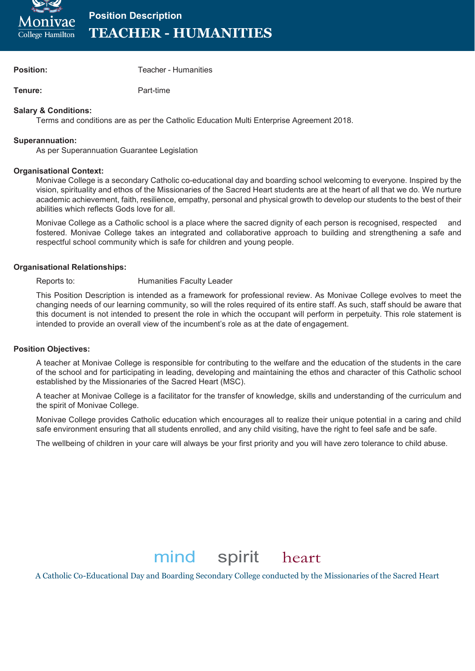

**Position Description TEACHER - HUMANITIES**

**Position:** Teacher - Humanities

**Tenure:** Part-time

#### **Salary & Conditions:**

Terms and conditions are as per the Catholic Education Multi Enterprise Agreement 2018.

#### **Superannuation:**

As per Superannuation Guarantee Legislation

#### **Organisational Context:**

Monivae College is a secondary Catholic co-educational day and boarding school welcoming to everyone. Inspired by the vision, spirituality and ethos of the Missionaries of the Sacred Heart students are at the heart of all that we do. We nurture academic achievement, faith, resilience, empathy, personal and physical growth to develop our students to the best of their abilities which reflects Gods love for all.

Monivae College as a Catholic school is a place where the sacred dignity of each person is recognised, respected and fostered. Monivae College takes an integrated and collaborative approach to building and strengthening a safe and respectful school community which is safe for children and young people.

#### **Organisational Relationships:**

### Reports to: **Humanities Faculty Leader**

This Position Description is intended as a framework for professional review. As Monivae College evolves to meet the changing needs of our learning community, so will the roles required of its entire staff. As such, staff should be aware that this document is not intended to present the role in which the occupant will perform in perpetuity. This role statement is intended to provide an overall view of the incumbent's role as at the date of engagement.

#### **Position Objectives:**

A teacher at Monivae College is responsible for contributing to the welfare and the education of the students in the care of the school and for participating in leading, developing and maintaining the ethos and character of this Catholic school established by the Missionaries of the Sacred Heart (MSC).

A teacher at Monivae College is a facilitator for the transfer of knowledge, skills and understanding of the curriculum and the spirit of Monivae College.

Monivae College provides Catholic education which encourages all to realize their unique potential in a caring and child safe environment ensuring that all students enrolled, and any child visiting, have the right to feel safe and be safe.

The wellbeing of children in your care will always be your first priority and you will have zero tolerance to child abuse.

# mind spirit heart

A Catholic Co-Educational Day and Boarding Secondary College conducted by the Missionaries of the Sacred Heart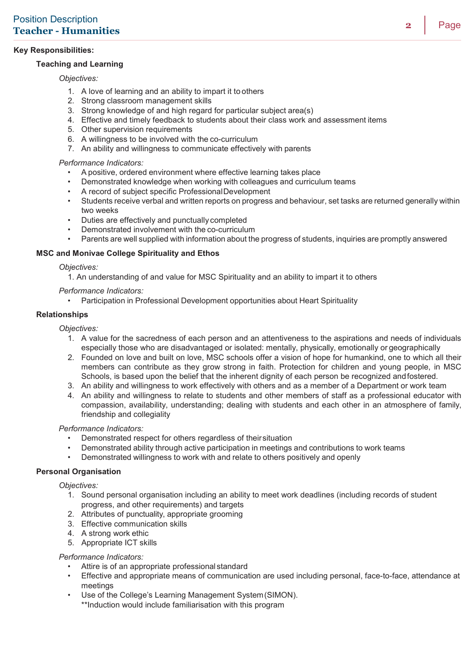# **Key Responsibilities:**

## **Teaching and Learning**

## *Objectives:*

- 1. A love of learning and an ability to impart it to others
- 2. Strong classroom management skills
- 3. Strong knowledge of and high regard for particular subject area(s)
- 4. Effective and timely feedback to students about their class work and assessment items
- 5. Other supervision requirements
- 6. A willingness to be involved with the co-curriculum
- 7. An ability and willingness to communicate effectively with parents

### *Performance Indicators:*

- A positive, ordered environment where effective learning takes place
- Demonstrated knowledge when working with colleagues and curriculum teams
- A record of subject specific ProfessionalDevelopment
- Students receive verbal and written reports on progress and behaviour, set tasks are returned generally within two weeks
- Duties are effectively and punctually completed
- Demonstrated involvement with the co-curriculum
- Parents are well supplied with information about the progress of students, inquiries are promptly answered

### **MSC and Monivae College Spirituality and Ethos**

#### *Objectives:*

1. An understanding of and value for MSC Spirituality and an ability to impart it to others

### *Performance Indicators:*

• Participation in Professional Development opportunities about Heart Spirituality

### **Relationships**

*Objectives:*

- 1. A value for the sacredness of each person and an attentiveness to the aspirations and needs of individuals especially those who are disadvantaged or isolated: mentally, physically, emotionally or geographically
- 2. Founded on love and built on love, MSC schools offer a vision of hope for humankind, one to which all their members can contribute as they grow strong in faith. Protection for children and young people, in MSC Schools, is based upon the belief that the inherent dignity of each person be recognized andfostered.
- 3. An ability and willingness to work effectively with others and as a member of a Department or work team
- 4. An ability and willingness to relate to students and other members of staff as a professional educator with compassion, availability, understanding; dealing with students and each other in an atmosphere of family, friendship and collegiality

#### *Performance Indicators:*

- Demonstrated respect for others regardless of theirsituation
- Demonstrated ability through active participation in meetings and contributions to work teams<br>• Demonstrated willingness to work with and relate to others positively and openly
- Demonstrated willingness to work with and relate to others positively and openly

#### **Personal Organisation**

*Objectives:*

- 1. Sound personal organisation including an ability to meet work deadlines (including records of student progress, and other requirements) and targets
- 2. Attributes of punctuality, appropriate grooming
- 3. Effective communication skills
- 4. A strong work ethic
- 5. Appropriate ICT skills

#### *Performance Indicators:*

- Attire is of an appropriate professional standard
- Effective and appropriate means of communication are used including personal, face-to-face, attendance at meetings
- Use of the College's Learning Management System (SIMON).

\*\*Induction would include familiarisation with this program